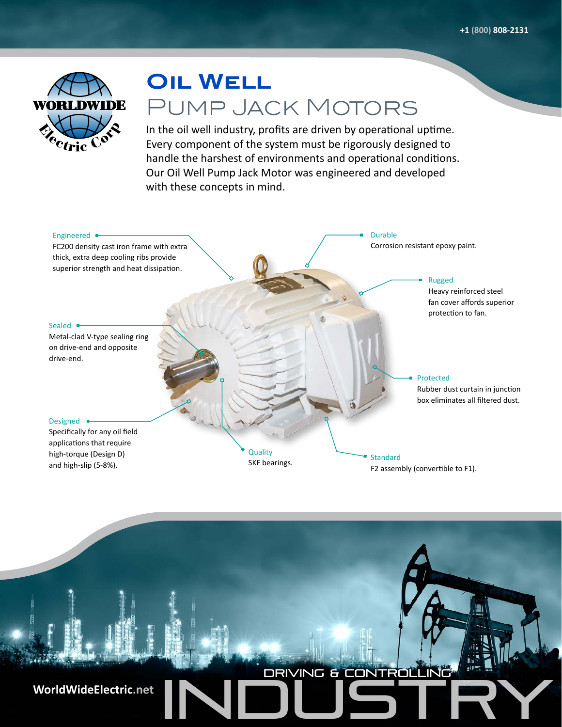

# **OIL WELL** Pump Jack Motors

In the oil well industry, profits are driven by operational uptime. Every component of the system must be rigorously designed to handle the harshest of environments and operational conditions. Our Oil Well Pump Jack Motor was engineered and developed with these concepts in mind.